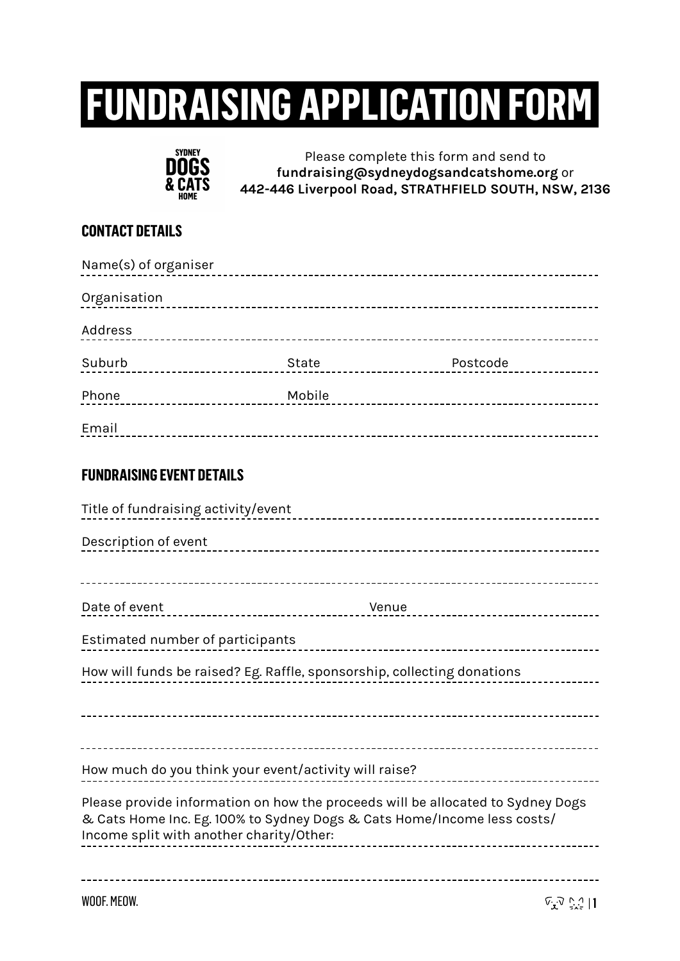# **FUNDRAISING APPLICATION FORM**



Please complete this form and send to **fundraising@sydneydogsandcatshome.org** or **442-446 Liverpool Road, STRATHFIELD SOUTH, NSW, 2136**

## **CONTACT DETAILS**

| Name(s) of organiser                   |                               |          |
|----------------------------------------|-------------------------------|----------|
| Organisation                           |                               |          |
| Address                                |                               |          |
| Suburb                                 | State<br>-------------------- | Postcode |
| Phone<br>_____________________________ | Mobile                        |          |
| Email                                  |                               |          |

### **FUNDRAISING EVENT DETAILS**

| Title of fundraising activity/event                                                                                                                                                                    |
|--------------------------------------------------------------------------------------------------------------------------------------------------------------------------------------------------------|
| Description of event                                                                                                                                                                                   |
|                                                                                                                                                                                                        |
| Date of event example and the contract of event we are very venue of event and the very very very very very ve                                                                                         |
|                                                                                                                                                                                                        |
| Estimated number of participants                                                                                                                                                                       |
| How will funds be raised? Eg. Raffle, sponsorship, collecting donations                                                                                                                                |
|                                                                                                                                                                                                        |
|                                                                                                                                                                                                        |
| How much do you think your event/activity will raise?                                                                                                                                                  |
| Please provide information on how the proceeds will be allocated to Sydney Dogs<br>& Cats Home Inc. Eg. 100% to Sydney Dogs & Cats Home/Income less costs/<br>Income split with another charity/Other: |
|                                                                                                                                                                                                        |